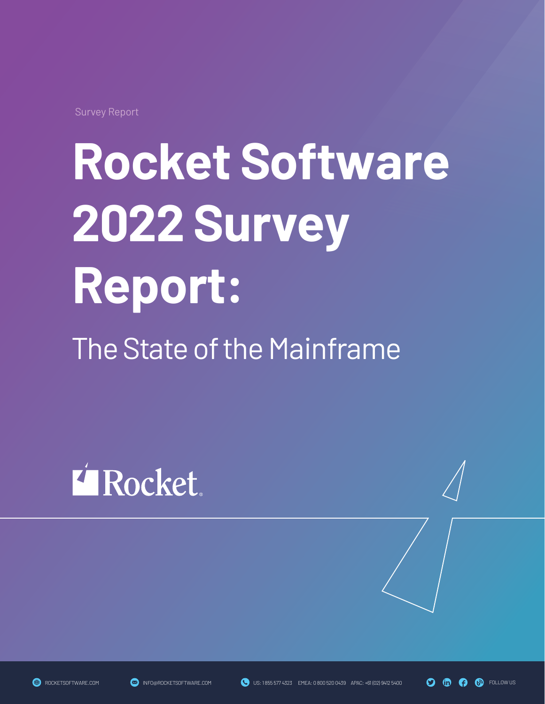Survey Report

# **Rocket Software 2022 Survey Report:**

The State of the Mainframe

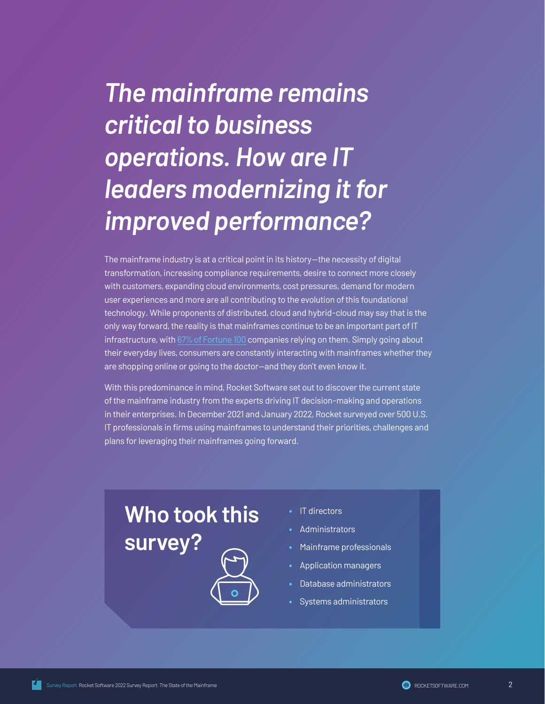# *The mainframe remains critical to business operations. How are IT leaders modernizing it for improved performance?*

The mainframe industry is at a critical point in its history—the necessity of digital transformation, increasing compliance requirements, desire to connect more closely with customers, expanding cloud environments, cost pressures, demand for modern user experiences and more are all contributing to the evolution of this foundational technology. While proponents of distributed, cloud and hybrid-cloud may say that is the only way forward, the reality is that mainframes continue to be an important part of IT infrastructure, with [67% of Fortune 100](https://protect-us.mimecast.com/s/A8IEClYPyPhogpkQCGCVtg?domain=zdnet.com) companies relying on them. Simply going about their everyday lives, consumers are constantly interacting with mainframes whether they are shopping online or going to the doctor—and they don't even know it.

With this predominance in mind, Rocket Software set out to discover the current state of the mainframe industry from the experts driving IT decision-making and operations in their enterprises. In December 2021 and January 2022, Rocket surveyed over 500 U.S. IT professionals in firms using mainframes to understand their priorities, challenges and plans for leveraging their mainframes going forward.

### **Who took this survey?**



- IT directors
- **Administrators**
- Mainframe professionals
- Application managers
- Database administrators
- Systems administrators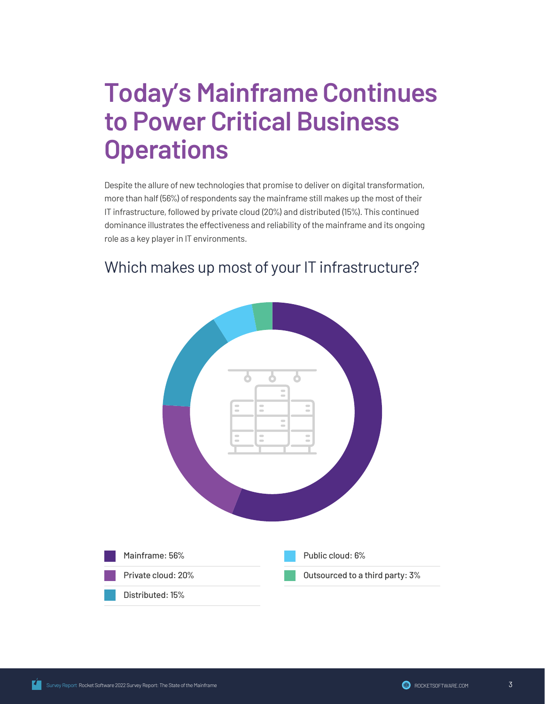### **Today's Mainframe Continues to Power Critical Business Operations**

Despite the allure of new technologies that promise to deliver on digital transformation, more than half (56%) of respondents say the mainframe still makes up the most of their IT infrastructure, followed by private cloud (20%) and distributed (15%). This continued dominance illustrates the effectiveness and reliability of the mainframe and its ongoing role as a key player in IT environments.

#### Which makes up most of your IT infrastructure?

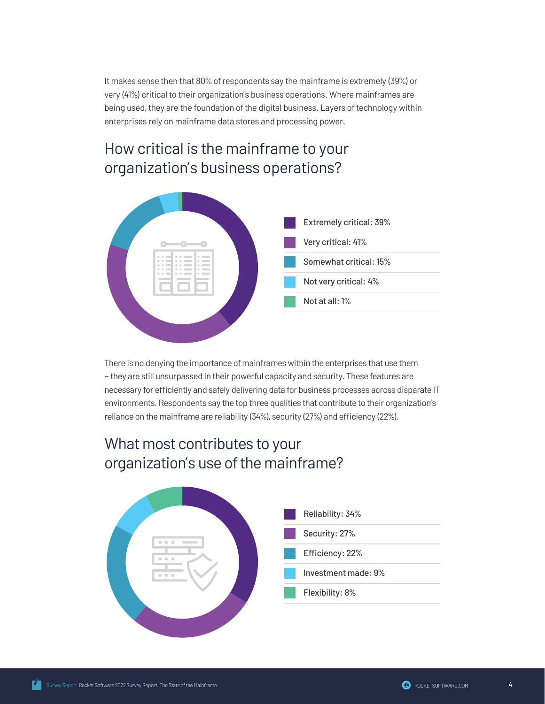It makes sense then that 80% of respondents say the mainframe is extremely (39%) or very (41%) critical to their organization's business operations. Where mainframes are being used, they are the foundation of the digital business. Layers of technology within enterprises rely on mainframe data stores and processing power.

### How critical is the mainframe to your organization's business operations?



There is no denying the importance of mainframes within the enterprises that use them – they are still unsurpassed in their powerful capacity and security. These features are necessary for efficiently and safely delivering data for business processes across disparate IT environments. Respondents say the top three qualities that contribute to their organization's reliance on the mainframe are reliability (34%), security (27%) and efficiency (22%).

#### What most contributes to your organization's use of the mainframe?

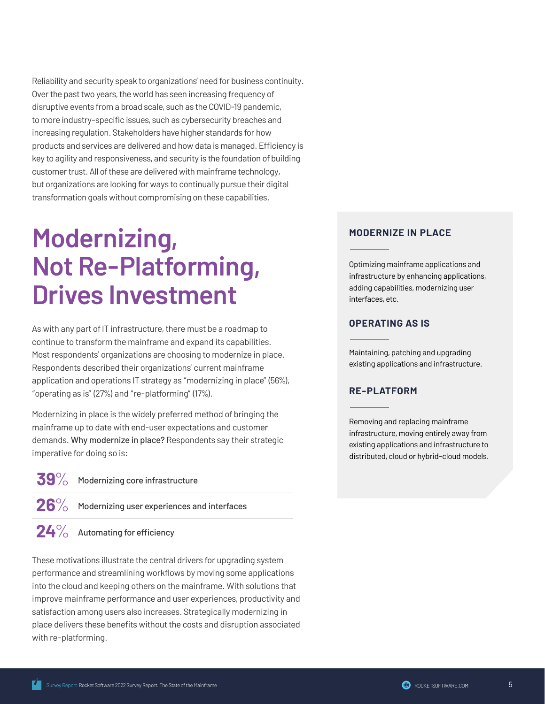Reliability and security speak to organizations' need for business continuity. Over the past two years, the world has seen increasing frequency of disruptive events from a broad scale, such as the COVID-19 pandemic, to more industry-specific issues, such as cybersecurity breaches and increasing regulation. Stakeholders have higher standards for how products and services are delivered and how data is managed. Efficiency is key to agility and responsiveness, and security is the foundation of building customer trust. All of these are delivered with mainframe technology, but organizations are looking for ways to continually pursue their digital transformation goals without compromising on these capabilities.

### **Modernizing, Not Re-Platforming, Drives Investment**

As with any part of IT infrastructure, there must be a roadmap to continue to transform the mainframe and expand its capabilities. Most respondents' organizations are choosing to modernize in place. Respondents described their organizations' current mainframe application and operations IT strategy as "modernizing in place" (56%), "operating as is" (27%) and "re-platforming" (17%).

Modernizing in place is the widely preferred method of bringing the mainframe up to date with end-user expectations and customer demands. Why modernize in place? Respondents say their strategic imperative for doing so is:

**39**% Modernizing core infrastructure

26<sup>%</sup> Modernizing user experiences and interfaces

**24**% Automating for efficiency

These motivations illustrate the central drivers for upgrading system performance and streamlining workflows by moving some applications into the cloud and keeping others on the mainframe. With solutions that improve mainframe performance and user experiences, productivity and satisfaction among users also increases. Strategically modernizing in place delivers these benefits without the costs and disruption associated with re-platforming.

#### **MODERNIZE IN PLACE**

Optimizing mainframe applications and infrastructure by enhancing applications, adding capabilities, modernizing user interfaces, etc.

#### **OPERATING AS IS**

Maintaining, patching and upgrading existing applications and infrastructure.

#### **RE-PLATFORM**

Removing and replacing mainframe infrastructure, moving entirely away from existing applications and infrastructure to distributed, cloud or hybrid-cloud models.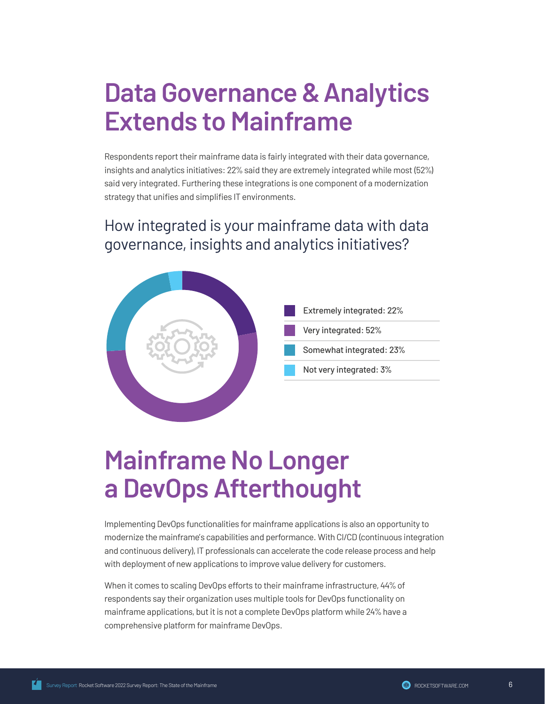### **Data Governance & Analytics Extends to Mainframe**

Respondents report their mainframe data is fairly integrated with their data governance, insights and analytics initiatives: 22% said they are extremely integrated while most (52%) said very integrated. Furthering these integrations is one component of a modernization strategy that unifies and simplifies IT environments.

#### How integrated is your mainframe data with data governance, insights and analytics initiatives?



### **Mainframe No Longer a DevOps Afterthought**

Implementing DevOps functionalities for mainframe applications is also an opportunity to modernize the mainframe's capabilities and performance. With CI/CD (continuous integration and continuous delivery), IT professionals can accelerate the code release process and help with deployment of new applications to improve value delivery for customers.

When it comes to scaling DevOps efforts to their mainframe infrastructure, 44% of respondents say their organization uses multiple tools for DevOps functionality on mainframe applications, but it is not a complete DevOps platform while 24% have a comprehensive platform for mainframe DevOps.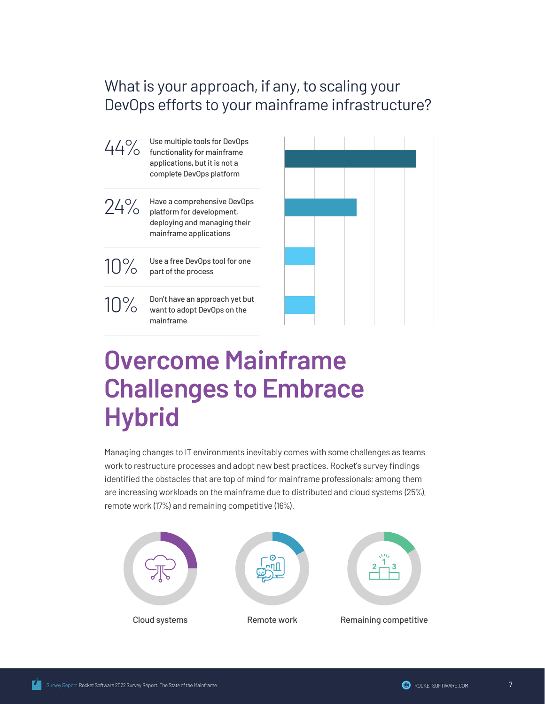#### What is your approach, if any, to scaling your DevOps efforts to your mainframe infrastructure?



Use multiple tools for DevOps functionality for mainframe applications, but it is not a complete DevOps platform



Have a comprehensive DevOps platform for development, deploying and managing their mainframe applications



Use a free DevOps tool for one part of the process

10%

Don't have an approach yet but want to adopt DevOps on the mainframe



### **Overcome Mainframe Challenges to Embrace Hybrid**

Managing changes to IT environments inevitably comes with some challenges as teams work to restructure processes and adopt new best practices. Rocket's survey findings identified the obstacles that are top of mind for mainframe professionals; among them are increasing workloads on the mainframe due to distributed and cloud systems (25%), remote work (17%) and remaining competitive (16%).

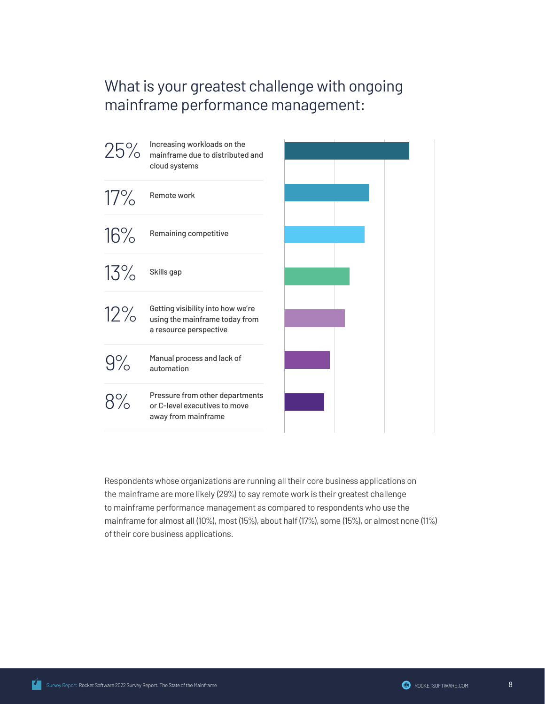#### What is your greatest challenge with ongoing mainframe performance management:



Respondents whose organizations are running all their core business applications on the mainframe are more likely (29%) to say remote work is their greatest challenge to mainframe performance management as compared to respondents who use the mainframe for almost all (10%), most (15%), about half (17%), some (15%), or almost none (11%) of their core business applications.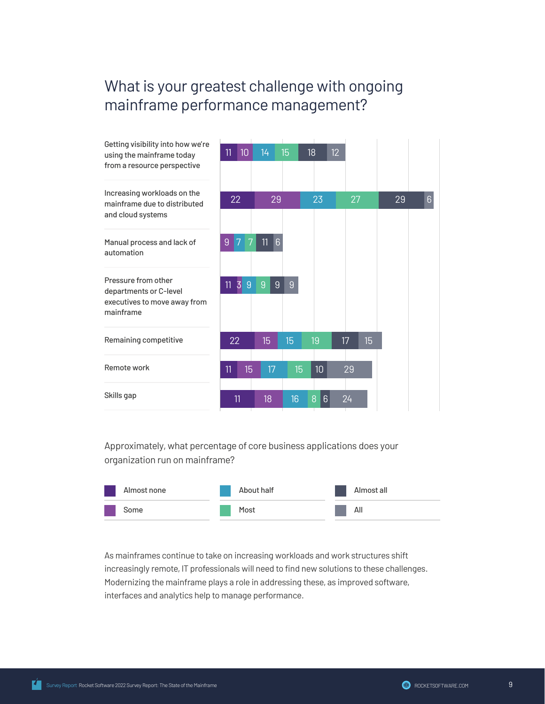#### What is your greatest challenge with ongoing mainframe performance management?



Approximately, what percentage of core business applications does your organization run on mainframe?



As mainframes continue to take on increasing workloads and work structures shift increasingly remote, IT professionals will need to find new solutions to these challenges. Modernizing the mainframe plays a role in addressing these, as improved software, interfaces and analytics help to manage performance.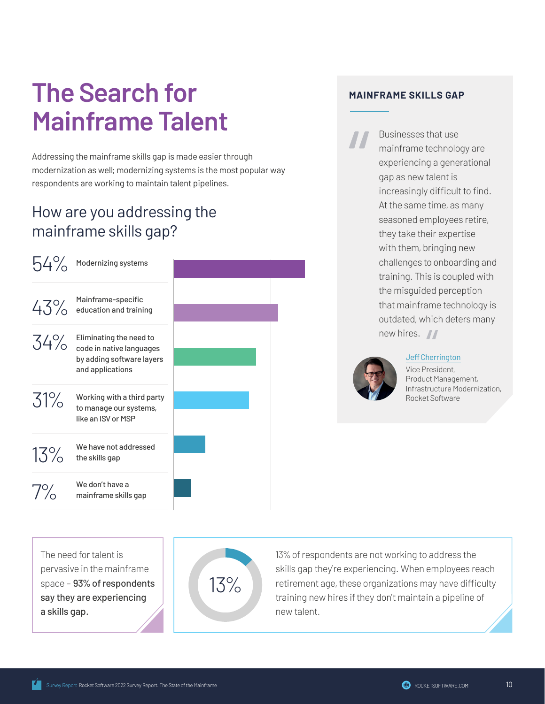# **The Search for Mainframe Talent**

Addressing the mainframe skills gap is made easier through modernization as well; modernizing systems is the most popular way respondents are working to maintain talent pipelines.

### How are you addressing the mainframe skills gap?

| 54%   | Modernizing systems                                                                                         |  |
|-------|-------------------------------------------------------------------------------------------------------------|--|
|       | $43\%$ Mainframe-specific<br>43% education and training                                                     |  |
|       | $34\%$ Eliminating the need to<br>code in native languages<br>by adding software layers<br>and applications |  |
| 31%   | Working with a third party<br>to manage our systems,<br>like an ISV or MSP                                  |  |
| 13%   | We have not addressed<br>the skills gap                                                                     |  |
| $7\%$ | We don't have a<br>mainframe skills gap                                                                     |  |

#### **MAINFRAME SKILLS GAP**

Businesses that use mainframe technology are experiencing a generational gap as new talent is increasingly difficult to find. At the same time, as many seasoned employees retire, they take their expertise with them, bringing new challenges to onboarding and training. This is coupled with the misguided perception that mainframe technology is outdated, which deters many new hires.  $\sqrt{ }$ 



#### [Jeff Cherrington](https://www.toolbox.com/tech/it-careers-skills/guest-article/mainframe-skills-gap-is-growing-3-ways-to-bridge-it/)

Vice President, Product Management, Infrastructure Modernization, Rocket Software

The need for talent is pervasive in the mainframe space – 93% of respondents say they are experiencing a skills gap.



13% of respondents are not working to address the skills gap they're experiencing. When employees reach retirement age, these organizations may have difficulty training new hires if they don't maintain a pipeline of new talent.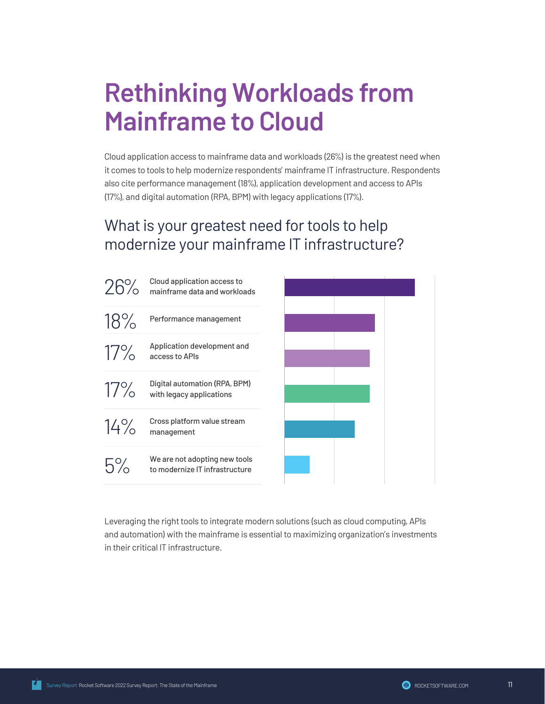### **Rethinking Workloads from Mainframe to Cloud**

Cloud application access to mainframe data and workloads (26%) is the greatest need when it comes to tools to help modernize respondents' mainframe IT infrastructure. Respondents also cite performance management (18%), application development and access to APIs (17%), and digital automation (RPA, BPM) with legacy applications (17%).

#### What is your greatest need for tools to help modernize your mainframe IT infrastructure?



Leveraging the right tools to integrate modern solutions (such as cloud computing, APIs and automation) with the mainframe is essential to maximizing organization's investments in their critical IT infrastructure.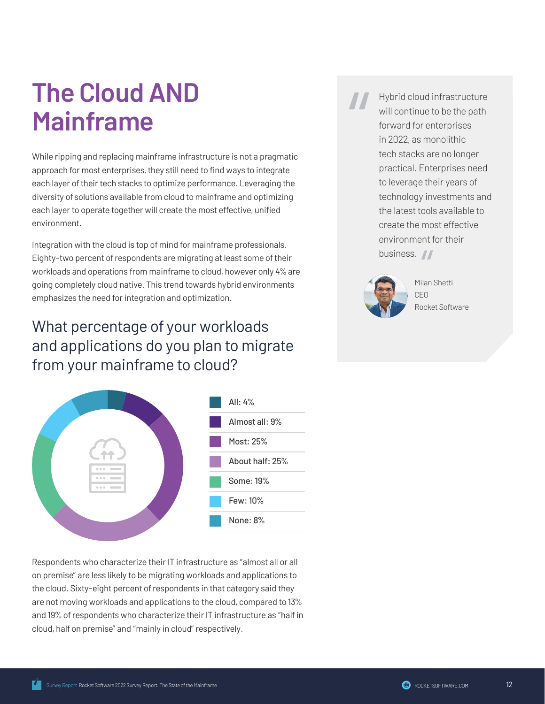# **The Cloud AND Mainframe**

While ripping and replacing mainframe infrastructure is not a pragmatic approach for most enterprises, they still need to find ways to integrate each layer of their tech stacks to optimize performance. Leveraging the diversity of solutions available from cloud to mainframe and optimizing each layer to operate together will create the most effective, unified environment.

Integration with the cloud is top of mind for mainframe professionals. Eighty-two percent of respondents are migrating at least some of their workloads and operations from mainframe to cloud, however only 4% are going completely cloud native. This trend towards hybrid environments emphasizes the need for integration and optimization.

### What percentage of your workloads and applications do you plan to migrate from your mainframe to cloud?



Respondents who characterize their IT infrastructure as "almost all or all on premise" are less likely to be migrating workloads and applications to the cloud. Sixty-eight percent of respondents in that category said they are not moving workloads and applications to the cloud, compared to 13% and 19% of respondents who characterize their IT infrastructure as "half in cloud, half on premise" and "mainly in cloud" respectively.

Hybrid cloud infrastructure will continue to be the path forward for enterprises in 2022, as monolithic tech stacks are no longer practical. Enterprises need to leverage their years of technology investments and the latest tools available to create the most effective environment for their business. //



Milan Shetti CEO Rocket Software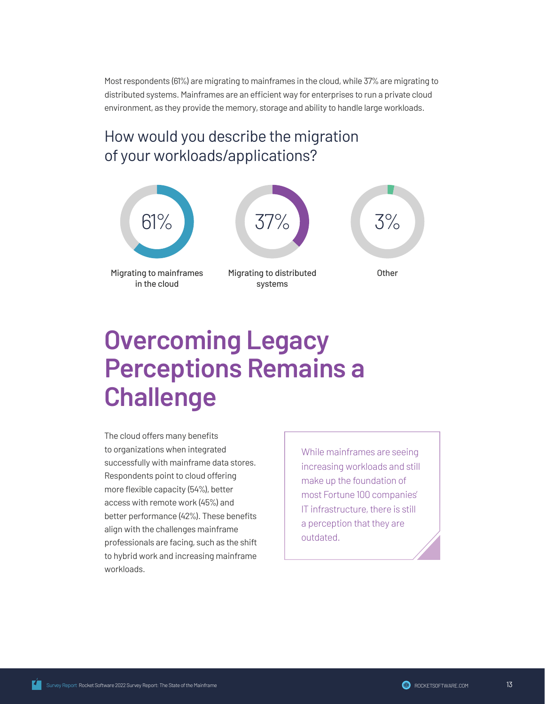Most respondents (61%) are migrating to mainframes in the cloud, while 37% are migrating to distributed systems. Mainframes are an efficient way for enterprises to run a private cloud environment, as they provide the memory, storage and ability to handle large workloads.

#### How would you describe the migration of your workloads/applications?



### **Overcoming Legacy Perceptions Remains a Challenge**

The cloud offers many benefits to organizations when integrated successfully with mainframe data stores. Respondents point to cloud offering more flexible capacity (54%), better access with remote work (45%) and better performance (42%). These benefits align with the challenges mainframe professionals are facing, such as the shift to hybrid work and increasing mainframe workloads.

While mainframes are seeing increasing workloads and still make up the foundation of most Fortune 100 companies' IT infrastructure, there is still a perception that they are outdated.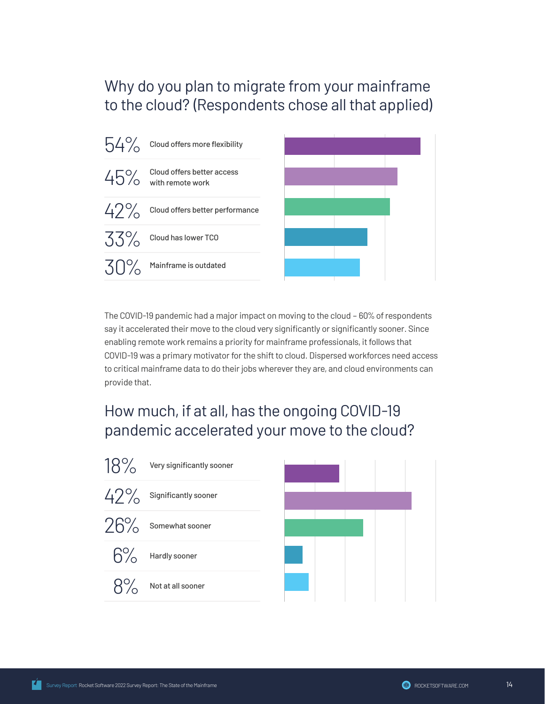#### Why do you plan to migrate from your mainframe to the cloud? (Respondents chose all that applied)



The COVID-19 pandemic had a major impact on moving to the cloud – 60% of respondents say it accelerated their move to the cloud very significantly or significantly sooner. Since enabling remote work remains a priority for mainframe professionals, it follows that COVID-19 was a primary motivator for the shift to cloud. Dispersed workforces need access to critical mainframe data to do their jobs wherever they are, and cloud environments can provide that.

### How much, if at all, has the ongoing COVID-19 pandemic accelerated your move to the cloud?

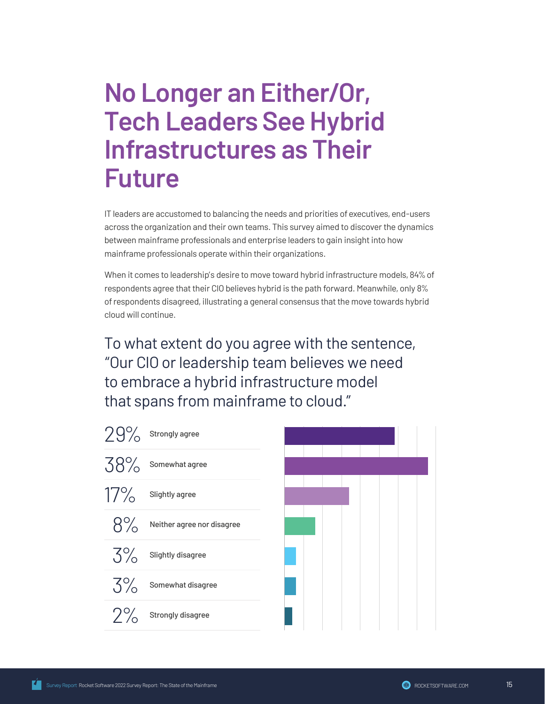### **No Longer an Either/Or, Tech Leaders See Hybrid Infrastructures as Their Future**

IT leaders are accustomed to balancing the needs and priorities of executives, end-users across the organization and their own teams. This survey aimed to discover the dynamics between mainframe professionals and enterprise leaders to gain insight into how mainframe professionals operate within their organizations.

When it comes to leadership's desire to move toward hybrid infrastructure models, 84% of respondents agree that their CIO believes hybrid is the path forward. Meanwhile, only 8% of respondents disagreed, illustrating a general consensus that the move towards hybrid cloud will continue.

To what extent do you agree with the sentence, "Our CIO or leadership team believes we need to embrace a hybrid infrastructure model that spans from mainframe to cloud."

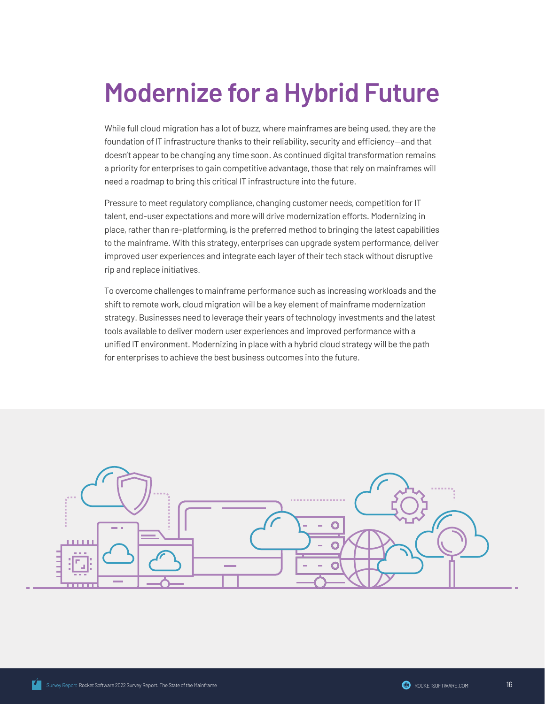# **Modernize for a Hybrid Future**

While full cloud migration has a lot of buzz, where mainframes are being used, they are the foundation of IT infrastructure thanks to their reliability, security and efficiency—and that doesn't appear to be changing any time soon. As continued digital transformation remains a priority for enterprises to gain competitive advantage, those that rely on mainframes will need a roadmap to bring this critical IT infrastructure into the future.

Pressure to meet regulatory compliance, changing customer needs, competition for IT talent, end-user expectations and more will drive modernization efforts. Modernizing in place, rather than re-platforming, is the preferred method to bringing the latest capabilities to the mainframe. With this strategy, enterprises can upgrade system performance, deliver improved user experiences and integrate each layer of their tech stack without disruptive rip and replace initiatives.

To overcome challenges to mainframe performance such as increasing workloads and the shift to remote work, cloud migration will be a key element of mainframe modernization strategy. Businesses need to leverage their years of technology investments and the latest tools available to deliver modern user experiences and improved performance with a unified IT environment. Modernizing in place with a hybrid cloud strategy will be the path for enterprises to achieve the best business outcomes into the future.